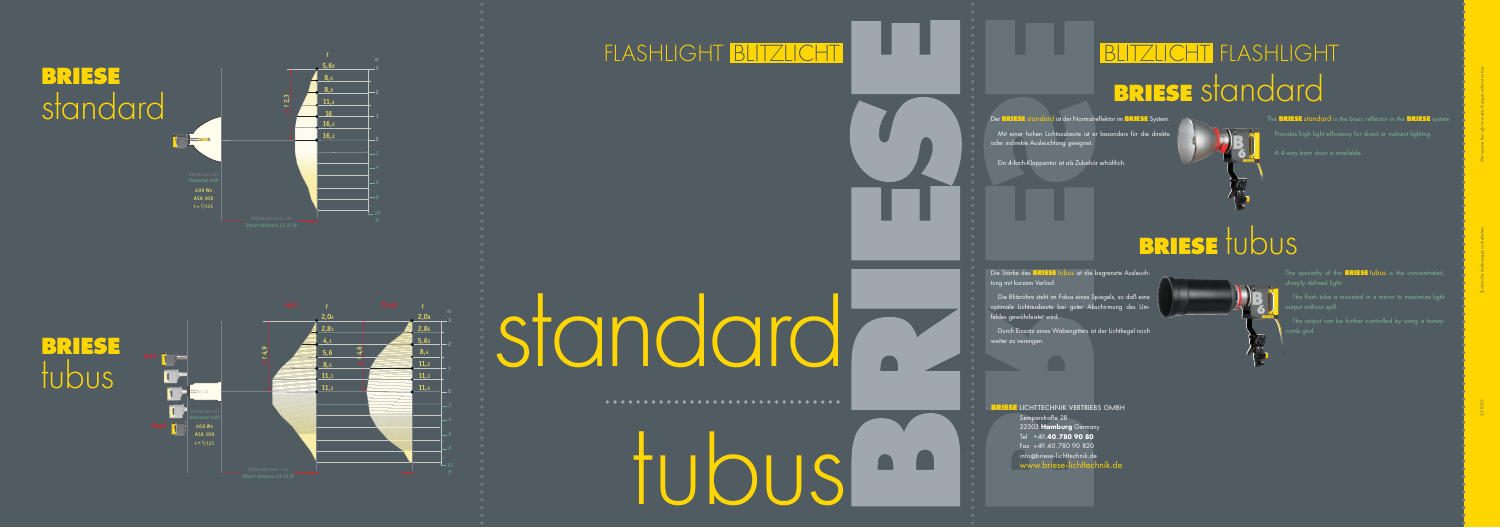### ITZLICHT FLASHLIGHT **BRIESE** standard



The BRIESE standard is the basic reflector in the BRIESE syste Provides high light efficiency for direct or indirect lighting.

#### BRIESE tubus



The specialty of the **BRIESE** tubus is the concentrated,

The flash tube is mounted in a mirror to maximize light put without spill.

 Mit einer hohen Lichtausbeute ist er besonders für die direkte oder indirekte Ausleuchtung geeignet.

Die Stärke des **BRIESE** tubus ist die begrenzte Ausleuchtung mit kurzem Verlauf.

Ein 4-fach-Klappentor ist als Zubehör erhältlich.

 Durch Einsatz eines Wabengitters ist der Lichtkegel noch weiter zu verengen.

**RIESE** LICHTTECHNIK VERTRIEBS GMBH Semperstraße 28 22303 **Hamburg** Germany Tel +49 **.40 .780 90 80** Fax +49.40.780 90 820 info @briese -lichttechnik.de **www.briese-lichttechnik.de** 

comb grid.

 Die Blitzröhre steht im Fokus eines Spiegels, so daß eine optimale Lichtausbeute bei guter Abschirmung des Umfeldes gewährleistet wird.

# tubus



RIESE standard ist der Normalreflektor im BRIESE System

#### **BRIESE** standard







#### FLASHLIGHT BLITZLICHT I LE LE LE LE RE



## istandard<sup>-</sup>